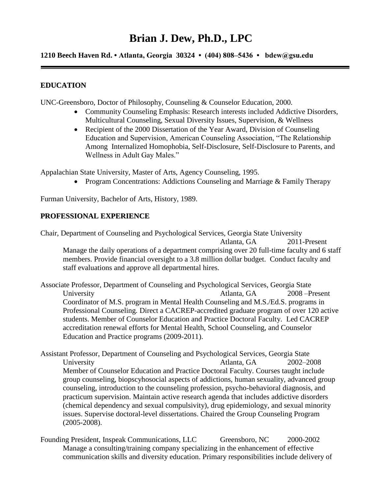# **Brian J. Dew, Ph.D., LPC**

**1210 Beech Haven Rd. • Atlanta, Georgia 30324 • (404) 808–5436 • [bdew@gsu.edu](mailto:bdew@gsu.edu)**

# **EDUCATION EDUCATION**

UNC-Greensboro, Doctor of Philosophy, Counseling & Counselor Education, 2000.

- Community Counseling Emphasis: Research interests included Addictive Disorders, Multicultural Counseling, Sexual Diversity Issues, Supervision, & Wellness
- Among Internalized Homophobia, Self-Disclosure, Self-Disclosure to Parents, and Wellness in Adult Gay Males." • Recipient of the 2000 Dissertation of the Year Award, Division of Counseling Education and Supervision, American Counseling Association, "The Relationship

Appalachian State University, Master of Arts, Agency Counseling, 1995.

• Program Concentrations: Addictions Counseling and Marriage & Family Therapy

Furman University, Bachelor of Arts, History, 1989.

## **PROFESSIONAL EXPERIENCE PROFESSIONAL EXPERIENCE**

 Manage the daily operations of a department comprising over 20 full-time faculty and 6 staff Chair, Department of Counseling and Psychological Services, Georgia State University Atlanta, GA 2011-Present members. Provide financial oversight to a 3.8 million dollar budget. Conduct faculty and staff evaluations and approve all departmental hires.

University students. Member of Counselor Education and Practice Doctoral Faculty. Led CACREP accreditation renewal efforts for Mental Health, School Counseling, and Counselor Associate Professor, Department of Counseling and Psychological Services, Georgia State Atlanta, GA 2008 –Present Coordinator of M.S. program in Mental Health Counseling and M.S./Ed.S. programs in Professional Counseling. Direct a CACREP-accredited graduate program of over 120 active Education and Practice programs (2009-2011).

University Assistant Professor, Department of Counseling and Psychological Services, Georgia State Atlanta, GA 2002–2008 Member of Counselor Education and Practice Doctoral Faculty. Courses taught include group counseling, biopscyhosocial aspects of addictions, human sexuality, advanced group counseling, introduction to the counseling profession, psycho-behavioral diagnosis, and practicum supervision. Maintain active research agenda that includes addictive disorders (chemical dependency and sexual compulsivity), drug epidemiology, and sexual minority issues. Supervise doctoral-level dissertations. Chaired the Group Counseling Program (2005-2008).

Founding President, Inspeak Communications, LLC Greensboro, NC 2000-2002 Manage a consulting/training company specializing in the enhancement of effective communication skills and diversity education. Primary responsibilities include delivery of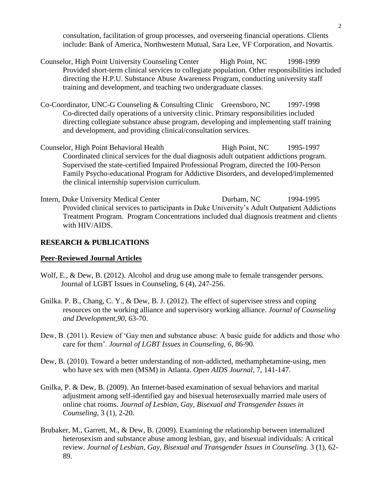consultation, facilitation of group processes, and overseeing financial operations. Clients include: Bank of America, Northwestern Mutual, Sara Lee, VF Corporation, and Novartis.

- Provided short-term clinical services to collegiate population. Other responsibilities included Counselor, High Point University Counseling Center High Point, NC 1998-1999 directing the H.P.U. Substance Abuse Awareness Program, conducting university staff training and development, and teaching two undergraduate classes.
- Co-Coordinator, UNC-G Counseling & Consulting Clinic Greensboro, NC 1997-1998 Co-directed daily operations of a university clinic. Primary responsibilities included directing collegiate substance abuse program, developing and implementing staff training and development, and providing clinical/consultation services.
- Counselor, High Point Behavioral Health High Point, NC 1995-1997 Coordinated clinical services for the dual diagnosis adult outpatient addictions program. Supervised the state-certified Impaired Professional Program, directed the 100-Person Family Psycho-educational Program for Addictive Disorders, and developed/implemented the clinical internship supervision curriculum.
- Intern, Duke University Medical Center Durham, NC 1994-1995 Provided clinical services to participants in Duke University's Adult Outpatient Addictions Treatment Program. Program Concentrations included dual diagnosis treatment and clients with HIV/AIDS.

## **RESEARCH & PUBLICATIONS RESEARCH & PUBLICATIONS**

#### **Peer-Reviewed Journal Articles**

- Wolf, E., & Dew, B. (2012). Alcohol and drug use among male to female transgender persons. Journal of LGBT Issues in Counseling, 6 (4), 247-256.
- Gnilka. P. B., Chang, C. Y., & Dew, B. J. (2012). The effect of supervisee stress and coping Gnilka. P. B., Chang, C. Y., & Dew, B. J. (2012). The effect of supervisee stress and coping resources on the working alliance and supervisory working alliance. *Journal of Counseling and Development,90,* 63-70.
- Dew, B. (2011). Review of 'Gay men and substance abuse: A basic guide for addicts and those who care for them'. *Journal of LGBT Issues in Counseling, 6*, 86-90.
- Dew, B. (2010). Toward a better understanding of non-addicted, methamphetamine-using, men who have sex with men (MSM) in Atlanta. *Open AIDS Journal*, 7, 141-147.
- Counseling, 3 (1), 2-20. Gnilka, P. & Dew, B. (2009). An Internet-based examination of sexual behaviors and marital adjustment among self-identified gay and bisexual heterosexually married male users of online chat rooms. *Journal of Lesbian, Gay, Bisexual and Transgender Issues in*
- *Brubaker, M., Garrett, M., & Dew, B. (2009). Examining the relationship between internalized* heterosexism and substance abuse among lesbian, gay, and bisexual individuals: A critical review. *Journal of Lesbian, Gay, Bisexual and Transgender Issues in Counseling.* 3 (1), 62- 89.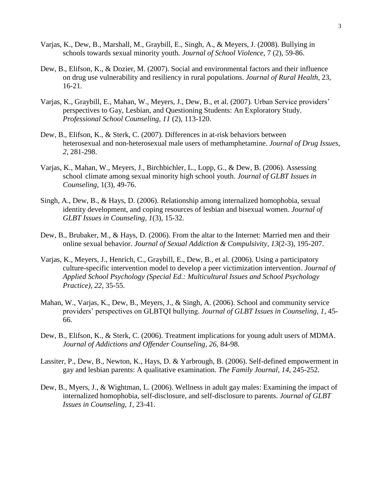- Varjas, K., Dew, B., Marshall, M., Graybill, E., Singh, A., & Meyers, J. (2008). Bullying in schools towards sexual minority youth*. Journal of School Violence*, 7 (2), 59-86.
- Dew, B., Elifson, K., & Dozier, M. (2007). Social and environmental factors and their influence on drug use vulnerability and resiliency in rural populations. *Journal of Rural Health*, 23, 16-21.
- *Professional School Counseling, 11* (2), 113-120. Varjas, K., Graybill, E., Mahan, W., Meyers, J., Dew, B., et al. (2007)*.* Urban Service providers' perspectives to Gay, Lesbian, and Questioning Students: An Exploratory Study.
- Dew, B., Elifson, K., & Sterk, C. (2007). Differences in at-risk behaviors between heterosexual and non-heterosexual male users of methamphetamine. *Journal of Drug Issues*, *2*, 281-298.
- Varjas, K., Mahan, W., Meyers, J., Birchbichler, L., Lopp, G., & Dew, B. (2006). Assessing school climate among sexual minority high school youth. *Journal of GLBT Issues in Counseling*, 1(3), 49-76.
- Singh, A., Dew, B., & Hays, D. (2006). Relationship among internalized homophobia, sexual identity development, and coping resources of lesbian and bisexual women. *Journal of GLBT Issues in Counseling, 1*(3), 15-32.
- Dew, B., Brubaker, M., & Hays, D. (2006). From the altar to the Internet: Married men and their online sexual behavior. *Journal of Sexual Addiction & Compulsivity*, *13*(2-3), 195-207.
- Varjas, K., Meyers, J., Henrich, C., Graybill, E., Dew, B., et al. (2006). Using a participatory culture-specific intervention model to develop a peer victimization intervention. *Journal of Applied School Psychology (Special Ed.: Multicultural Issues and School Psychology Practice)*, *22*, 35-55.
- Mahan, W., Varjas, K., Dew, B., Meyers, J., & Singh, A. (2006). School and community service providers' perspectives on GLBTQI bullying. *Journal of GLBT Issues in Counseling*, *1*, 45- 66.
- Dew, B., Elifson, K., & Sterk, C. (2006). Treatment implications for young adult users of MDMA. *Journal of Addictions and Offender Counseling*, *26*, 84-98.
- Lassiter, P., Dew, B., Newton, K., Hays, D. & Yarbrough, B. (2006). Self-defined empowerment in gay and lesbian parents: A qualitative examination. *The Family Journal*, *14*, 245-252*.*
- internalized homophobia, self-disclosure, and self-disclosure to parents. *Journal of GLBT*  Dew, B., Myers, J., & Wightman, L. (2006). Wellness in adult gay males: Examining the impact of *Issues in Counseling*, *1*, 23-41.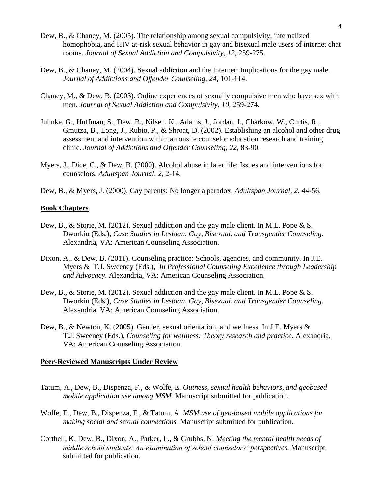- Dew, B., & Chaney, M. (2005). The relationship among sexual compulsivity, internalized homophobia*,* and HIV at-risk sexual behavior in gay and bisexual male users of internet chat rooms. *Journal of Sexual Addiction and Compulsivity*, *12*, 259-275.
- Dew, B., & Chaney, M. (2004). Sexual addiction and the Internet: Implications for the gay male. *Journal of Addictions and Offender Counseling*, *24*, 101-114.
- Chaney, M., & Dew, B. (2003). Online experiences of sexually compulsive men who have sex with men. *Journal of Sexual Addiction and Compulsivity*, *10*, 259-274.
- Gmutza, B., Long, J., Rubio, P., & Shroat, D. (2002). Establishing an alcohol and other drug<br>assessment and intervention within an onsite counselor education research and training<br>clinic. Journal of Addictions and Offender assessment and intervention within an onsite counselor education research and training Juhnke, G., Huffman, S., Dew, B., Nilsen, K., Adams, J., Jordan, J., Charkow, W., Curtis, R.,
- Myers, J., Dice, C., & Dew, B. (2000). Alcohol abuse in later life: Issues and interventions for counselors. *Adultspan Journal, 2*, 2-14.
- Dew, B., & Myers, J. (2000). Gay parents: No longer a paradox. *Adultspan Journal, 2*, 44-56.

## **Book Chapters**

- Dew, B., & Storie, M. (2012). Sexual addiction and the gay male client. In M.L. Pope & S. Dworkin (Eds.), *Case Studies in Lesbian, Gay, Bisexual, and Transgender Counseling*. Alexandria, VA: American Counseling Association.
- Myers & T.J. Sweeney (Eds.), *In Professional Counseling Excellence through Leadership*  Dixon, A., & Dew, B. (2011). Counseling practice: Schools, agencies, and community. In J.E. *and Advocacy*. Alexandria, VA: American Counseling Association.
- Dew, B., & Storie, M. (2012). Sexual addiction and the gay male client. In M.L. Pope & S. Dworkin (Eds.), *Case Studies in Lesbian, Gay, Bisexual, and Transgender Counseling*. Alexandria, VA: American Counseling Association.
- Dew, B., & Newton, K. (2005). Gender, sexual orientation, and wellness. In J.E. Myers & Dew, B., & Newton, K. (2005). Gender, sexual orientation, and wellness. In J.E. Myers & T.J. Sweeney (Eds.), *Counseling for wellness: Theory research and practice.* Alexandria, VA: American Counseling Association.

## **Peer-Reviewed Manuscripts Under Review**

- Tatum, A., Dew, B., Dispenza, F., & Wolfe, E. *Outness, sexual health behaviors, and geobased mobile application use among MSM.* Manuscript submitted for publication.
- Wolfe, E., Dew, B., Dispenza, F., & Tatum, A. *MSM use of geo-based mobile applications for making social and sexual connections.* Manuscript submitted for publication.
- Corthell, K. Dew, B., Dixon, A., Parker, L., & Grubbs, N. *Meeting the mental health needs of middle school students: An examination of school counselors' perspectives.* Manuscript middle school students: An examination of school counselors' perspectives. Manuscript submitted for publication.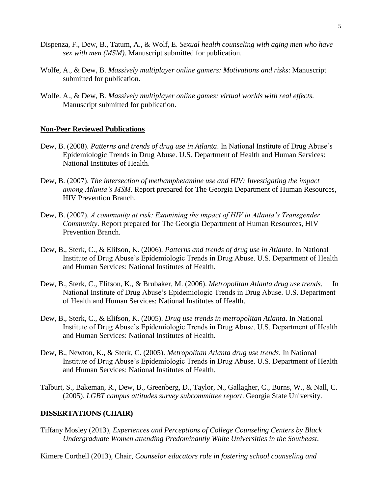- Dispenza, F., Dew, B., Tatum, A., & Wolf, E. *Sexual health counseling with aging men who have sex with men (MSM)*. Manuscript submitted for publication.
- Wolfe, A., & Dew, B. *Massively multiplayer online gamers: Motivations and risks*: Manuscript submitted for publication.
- Wolfe. A., & Dew, B. *Massively multiplayer online games: virtual worlds with real effects.* Manuscript submitted for publication.

## **Non-Peer Reviewed Publications**

- Dew, B. (2008). *Patterns and trends of drug use in Atlanta*. In National Institute of Drug Abuse's Epidemiologic Trends in Drug Abuse. U.S. Department of Health and Human Services: National Institutes of Health.
- Dew, B. (2007). *The intersection of methamphetamine use and HIV: Investigating the impact among Atlanta's MSM*. Report prepared for The Georgia Department of Human Resources, HIV Prevention Branch.
- Dew, B. (2007). *A community at risk: Examining the impact of HIV in Atlanta's Transgender Community*. Report prepared for The Georgia Department of Human Resources, HIV Prevention Branch.
- Dew, B., Sterk, C., & Elifson, K. (2006). *Patterns and trends of drug use in Atlanta*. In National Institute of Drug Abuse's Epidemiologic Trends in Drug Abuse. U.S. Department of Health and Human Services: National Institutes of Health.
- Dew, B., Sterk, C., Elifson, K., & Brubaker, M. (2006). *Metropolitan Atlanta drug use trends*. In National Institute of Drug Abuse's Epidemiologic Trends in Drug Abuse. U.S. Department of Health and Human Services: National Institutes of Health.
- Dew, B., Sterk, C., & Elifson, K. (2005). *Drug use trends in metropolitan Atlanta*. In National Institute of Drug Abuse's Epidemiologic Trends in Drug Abuse. U.S. Department of Health and Human Services: National Institutes of Health.
- Dew, B., Newton, K., & Sterk, C. (2005). *Metropolitan Atlanta drug use trends*. In National Institute of Drug Abuse's Epidemiologic Trends in Drug Abuse. U.S. Department of Health and Human Services: National Institutes of Health.
- (2005). *LGBT campus attitudes survey subcommittee report*. Georgia State University. Talburt, S., Bakeman, R., Dew, B., Greenberg, D., Taylor, N., Gallagher, C., Burns, W., & Nall, C.

## **DISSERTATIONS (CHAIR) DISSERTATIONS (CHAIR)**

- Tiffany Mosley (2013), *Experiences and Perceptions of College Counseling Centers by Black Undergraduate Women attending Predominantly White Universities in the Southeast*.
- Kimere Corthell (2013), Chair, *Counselor educators role in fostering school counseling and*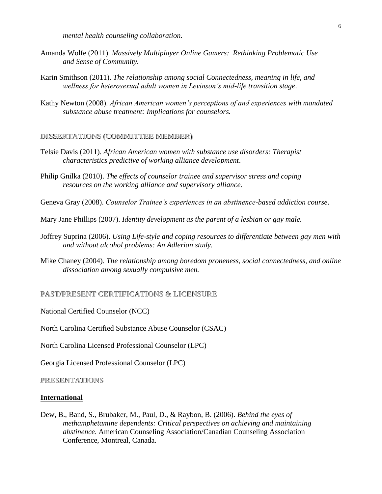*mental health counseling collaboration.* 

- Amanda Wolfe (2011). *Massively Multiplayer Online Gamers: Rethinking Problematic Use and Sense of Community.*
- Karin Smithson (2011). *The relationship among social Connectedness, meaning in life, and wellness for heterosexual adult women in Levinson's mid-life transition stage*.
- Kathy Newton (2008). *African American women's perceptions of and experiences with mandated substance abuse treatment: Implications for counselors.*

## **DISSERTATIONS (COMMITTEE MEMBER) DISSERTATIONS (COMMITTEE MEMBER)**

- Telsie Davis (2011). *African American women with substance use disorders: Therapist characteristics predictive of working alliance development*.
- Philip Gnilka (2010). *The effects of counselor trainee and supervisor stress and coping resources on the working alliance and supervisory alliance*.

Geneva Gray (2008). *Counselor Trainee's experiences in an abstinence-based addiction course*.

Mary Jane Phillips (2007). *Identity development as the parent of a lesbian or gay male.* 

- Joffrey Suprina (2006). *Using Life-style and coping resources to differentiate between gay men with and without alcohol problems: An Adlerian study.*
- Mike Chaney (2004). *The relationship among boredom proneness, social connectedness, and online dissociation among sexually compulsive men.* dissociation among sexually compulsive men.

**PAST/PRESENT CERTIFICATIONS & LICENSURE PAST/PRESENT CERTIFICATIONS LICENSURE** 

National Certified Counselor (NCC)

North Carolina Certified Substance Abuse Counselor (CSAC)

North Carolina Licensed Professional Counselor (LPC)

Georgia Licensed Professional Counselor (LPC)

**PRESENTATIONS PRESENTATIONS** 

## **International**

 *abstinence*. American Counseling Association/Canadian Counseling Association Conference, Montreal, Canada. Dew, B., Band, S., Brubaker, M., Paul, D., & Raybon, B. (2006). *Behind the eyes of methamphetamine dependents: Critical perspectives on achieving and maintaining*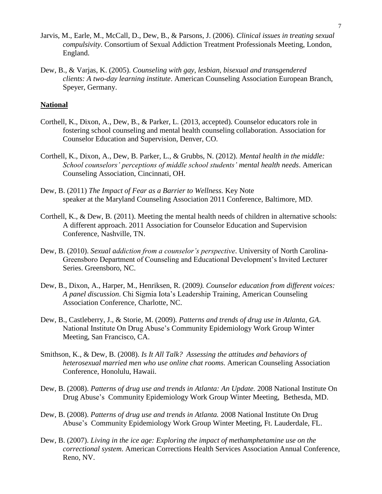- Jarvis, M., Earle, M., McCall, D., Dew, B., & Parsons, J. (2006). *Clinical issues in treating sexual compulsivity*. Consortium of Sexual Addiction Treatment Professionals Meeting, London, England.
- Dew, B., & Varjas, K. (2005). *Counseling with gay, lesbian, bisexual and transgendered*  Speyer, Germany. *clients: A two-day learning institute*. American Counseling Association European Branch,

## **National**

- Corthell, K., Dixon, A., Dew, B., & Parker, L. (2013, accepted). Counselor educators role in fostering school counseling and mental health counseling collaboration. Association for Counselor Education and Supervision, Denver, CO.
- Corthell, K., Dixon, A., Dew, B. Parker, L., & Grubbs, N. (2012). *Mental health in the middle:* School counselors' perceptions of middle school students' mental health needs. American Counseling Association, Cincinnati, OH.
- Dew, B. (2011) The Impact of Fear as a Barrier to Wellness. Key Note Dew, B. (2011) *The Impact of Fear as a Barrier to Wellness.* Key Note speaker at the Maryland Counseling Association 2011 Conference, Baltimore, MD.
- Corthell, K., & Dew, B. (2011). Meeting the mental health needs of children in alternative schools: A different approach. 2011 Association for Counselor Education and Supervision Conference, Nashville, TN.
- Dew, B. (2010). *Sexual addiction from a counselor's perspective*. University of North Carolina-Greensboro Department of Counseling and Educational Development's Invited Lecturer Series. Greensboro, NC.
- Dew, B., Dixon, A., Harper, M., Henriksen, R. (2009*). Counselor education from different voices: A panel discussion*. Chi Sigmia Iota's Leadership Training, American Counseling Association Conference, Charlotte, NC.
- Dew, B., Castleberry, J., & Storie, M. (2009). *Patterns and trends of drug use in Atlanta, GA*. National Institute On Drug Abuse's Community Epidemiology Work Group Winter Meeting, San Francisco, CA.
- Smithson, K., & Dew, B. (2008). *Is It All Talk? Assessing the attitudes and behaviors of heterosexual married men who use online chat rooms*. American Counseling Association Conference, Honolulu, Hawaii.
- Drug Abuse's Community Epidemiology Work Group Winter Meeting, Bethesda, MD. Dew, B. (2008). *Patterns of drug use and trends in Atlanta: An Update.* 2008 National Institute On
- Dew, B. (2008). *Patterns of drug use and trends in Atlanta.* 2008 National Institute On Drug Abuse's Community Epidemiology Work Group Winter Meeting, Ft. Lauderdale, FL.
- Dew, B. (2007). *Living in the ice age: Exploring the impact of methamphetamine use on the correctional system*. American Corrections Health Services Association Annual Conference, Reno, NV.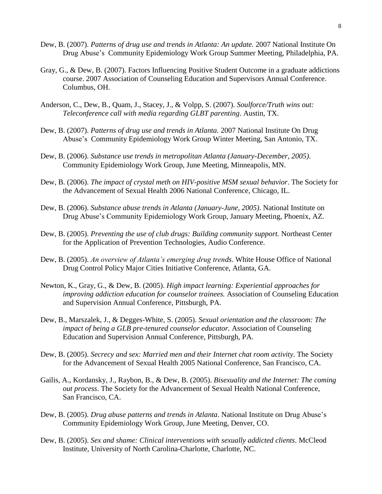- Dew, B. (2007). *Patterns of drug use and trends in Atlanta: An update.* 2007 National Institute On Drug Abuse's Community Epidemiology Work Group Summer Meeting, Philadelphia, PA.
- Gray, G., & Dew, B. (2007). Factors Influencing Positive Student Outcome in a graduate addictions course. 2007 Association of Counseling Education and Supervisors Annual Conference. Columbus, OH.
- Anderson, C., Dew, B., Quam, J., Stacey, J., & Volpp, S. (2007). *Soulforce/Truth wins out: Teleconference call with media regarding GLBT parenting*. Austin, TX.
- Dew, B. (2007). *Patterns of drug use and trends in Atlanta.* 2007 National Institute On Drug Abuse's Community Epidemiology Work Group Winter Meeting, San Antonio, TX.
- Dew, B. (2006). *Substance use trends in metropolitan Atlanta (January-December, 2005)*. Community Epidemiology Work Group, June Meeting, Minneapolis, MN.
- Dew, B. (2006). *The impact of crystal meth on HIV-positive MSM sexual behavior*. The Society for the Advancement of Sexual Health 2006 National Conference, Chicago, IL.
- Dew, B. (2006). *Substance abuse trends in Atlanta (January-June, 2005)*. National Institute on Drug Abuse's Community Epidemiology Work Group, January Meeting, Phoenix, AZ.
- Dew, B. (2005). *Preventing the use of club drugs: Building community support.* Northeast Center for the Application of Prevention Technologies, Audio Conference.
- Dew, B. (2005). *An overview of Atlanta's emerging drug trends*. White House Office of National Drug Control Policy Major Cities Initiative Conference, Atlanta, GA.
- Newton, K., Gray, G., & Dew, B. (2005). *High impact learning: Experiential approaches for improving addiction education for counselor trainees.* Association of Counseling Education and Supervision Annual Conference, Pittsburgh, PA.
- Dew, B., Marszalek, J., & Degges-White, S. (2005). *Sexual orientation and the classroom: The impact of being a GLB pre-tenured counselor educator.* Association of Counseling Education and Supervision Annual Conference, Pittsburgh, PA.
- Dew, B. (2005). *Secrecy and sex: Married men and their Internet chat room activity*. The Society for the Advancement of Sexual Health 2005 National Conference, San Francisco, CA.
- Gailis, A., Kordansky, J., Raybon, B., & Dew, B. (2005). *Bisexuality and the Internet: The coming out process*. The Society for the Advancement of Sexual Health National Conference, San Francisco, CA.
- Dew, B. (2005). *Drug abuse patterns and trends in Atlanta*. National Institute on Drug Abuse's Community Epidemiology Work Group, June Meeting, Denver, CO.
- Dew, B. (2005). *Sex and shame: Clinical interventions with sexually addicted clients*. McCleod Institute, University of North Carolina-Charlotte, Charlotte, NC.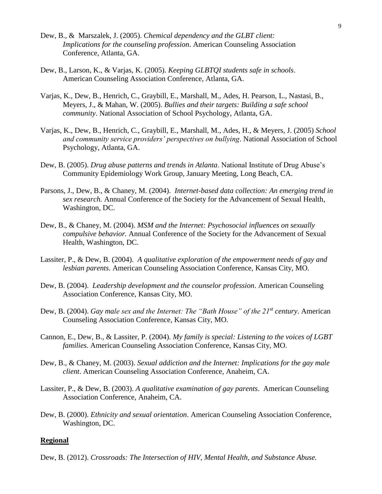- *Implications for the counseling profession*. American Counseling Association Dew, B., & Marszalek, J. (2005). *Chemical dependency and the GLBT client:*  Conference, Atlanta, GA.
- Dew, B., Larson, K., & Varjas, K. (2005). *Keeping GLBTQI students safe in schools*. American Counseling Association Conference, Atlanta, GA.
- Varjas, K., Dew, B., Henrich, C., Graybill, E., Marshall, M., Ades, H. Pearson, L., Nastasi, B., Meyers, J., & Mahan, W. (2005). *Bullies and their targets: Building a safe school community*. National Association of School Psychology, Atlanta, GA.
- Varjas, K., Dew, B., Henrich, C., Graybill, E., Marshall, M., Ades, H., & Meyers, J. (2005) *School and community service providers' perspectives on bullying*. National Association of School Psychology, Atlanta, GA.
- Community Epidemiology Work Group, January Meeting, Long Beach, CA. Dew, B. (2005). *Drug abuse patterns and trends in Atlanta*. National Institute of Drug Abuse's
- Parsons, J., Dew, B., & Chaney, M. (2004). *Internet-based data collection: An emerging trend in sex research.* Annual Conference of the Society for the Advancement of Sexual Health, Washington, DC.
- Dew, B., & Chaney, M. (2004). *MSM and the Internet: Psychosocial influences on sexually compulsive behavior.* Annual Conference of the Society for the Advancement of Sexual Health, Washington, DC.
- Lassiter, P., & Dew, B. (2004). *A qualitative exploration of the empowerment needs of gay and lesbian parents*. American Counseling Association Conference, Kansas City, MO.
- Dew, B. (2004). *Leadership development and the counselor profession*. American Counseling Association Conference, Kansas City, MO.
- Dew, B. (2004). *Gay male sex and the Internet: The "Bath House" of the 21st century*. American Counseling Association Conference, Kansas City, MO.
- Cannon, E., Dew, B., & Lassiter, P. (2004). *My family is special: Listening to the voices of LGBT families*. American Counseling Association Conference, Kansas City, MO.
- Dew, B., & Chaney, M. (2003). *Sexual addiction and the Internet: Implications for the gay male client*. American Counseling Association Conference, Anaheim, CA.
- Lassiter, P., & Dew, B. (2003). *A qualitative examination of gay parents*. American Counseling Association Conference, Anaheim, CA.
- Dew, B. (2000). *Ethnicity and sexual orientation*. American Counseling Association Conference, Washington, DC.

#### **Regional**

Dew, B. (2012). *Crossroads: The Intersection of HIV, Mental Health, and Substance Abuse.*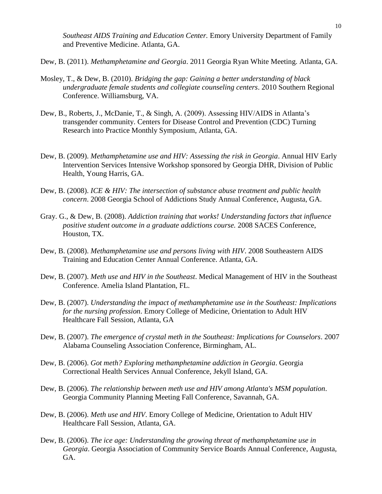*Southeast AIDS Training and Education Center.* Emory University Department of Family and Preventive Medicine. Atlanta, GA.

- Dew, B. (2011). *Methamphetamine and Georgia*. 2011 Georgia Ryan White Meeting. Atlanta, GA.<br>Mosley, T., & Dew, B. (2010). *Bridging the gap: Gaining a better understanding of black*<br>*undergraduate female students and coll* Mosley, T., & Dew, B. (2010). Bridging the gap: Gaining a better understanding of black Conference. Williamsburg, VA.
- Dew, B., Roberts, J., McDanie, T., & Singh, A. (2009). Assessing HIV/AIDS in Atlanta's transgender community. Centers for Disease Control and Prevention (CDC) Turning Research into Practice Monthly Symposium, Atlanta, GA.
- Dew, B. (2009). *Methamphetamine use and HIV: Assessing the risk in Georgia*. Annual HIV Early Intervention Services Intensive Workshop sponsored by Georgia DHR, Division of Public Health, Young Harris, GA.
- Dew, B. (2008). *ICE & HIV: The intersection of substance abuse treatment and public health concern*. 2008 Georgia School of Addictions Study Annual Conference, Augusta, GA.
- Gray. G., & Dew, B. (2008). *Addiction training that works! Understanding factors that influence positive student outcome in a graduate addictions course. 2008 SACES Conference,* Houston, TX.
- Dew, B. (2008). *Methamphetamine use and persons living with HIV*. 2008 Southeastern AIDS Training and Education Center Annual Conference. Atlanta, GA.
- Dew, B. (2007). *Meth use and HIV in the Southeast*. Medical Management of HIV in the Southeast Conference. Amelia Island Plantation, FL.
- Dew, B. (2007). *Understanding the impact of methamphetamine use in the Southeast: Implications for the nursing profession*. Emory College of Medicine, Orientation to Adult HIV Healthcare Fall Session, Atlanta, GA
- Dew, B. (2007). *The emergence of crystal meth in the Southeast: Implications for Counselors*. 2007 Alabama Counseling Association Conference, Birmingham, AL.
- Correctional Health Services Annual Conference, Jekyll Island, GA. Dew, B. (2006). *Got meth? Exploring methamphetamine addiction in Georgia*. Georgia
- Dew, B. (2006). *The relationship between meth use and HIV among Atlanta's MSM population*. Georgia Community Planning Meeting Fall Conference, Savannah, GA.
- Dew, B. (2006). *Meth use and HIV*. Emory College of Medicine, Orientation to Adult HIV Healthcare Fall Session, Atlanta, GA.
- Dew, B. (2006). *The ice age: Understanding the growing threat of methamphetamine use in Georgia*. Georgia Association of Community Service Boards Annual Conference, Augusta, GA.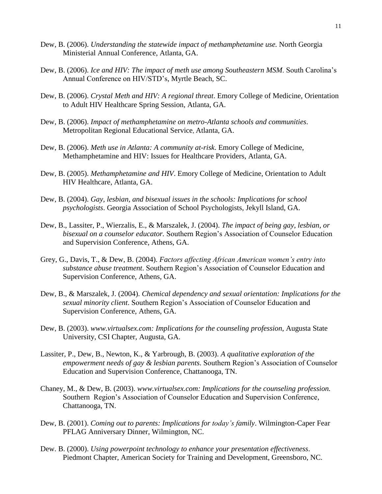- Dew, B. (2006). *Understanding the statewide impact of methamphetamine use.* North Georgia Ministerial Annual Conference, Atlanta, GA.
- Dew, B. (2006). *Ice and HIV: The impact of meth use among Southeastern MSM*. South Carolina's Annual Conference on HIV/STD's, Myrtle Beach, SC.
- Dew, B. (2006). *Crystal Meth and HIV: A regional threat*. Emory College of Medicine, Orientation to Adult HIV Healthcare Spring Session, Atlanta, GA.
- Dew, B. (2006). *Impact of methamphetamine on metro-Atlanta schools and communities*. Metropolitan Regional Educational Service, Atlanta, GA.
- Dew, B. (2006). *Meth use in Atlanta: A community at-risk*. Emory College of Medicine, Methamphetamine and HIV: Issues for Healthcare Providers, Atlanta, GA.
- Dew, B. (2005). *Methamphetamine and HIV*. Emory College of Medicine, Orientation to Adult HIV Healthcare, Atlanta, GA.
- *psychologists*. Georgia Association of School Psychologists, Jekyll Island, GA. Dew, B. (2004). *Gay, lesbian, and bisexual issues in the schools: Implications for school*
- Dew, B., Lassiter, P., Wierzalis, E., & Marszalek, J. (2004). *The impact of being gay, lesbian, or bisexual on a counselor educator.* Southern Region's Association of Counselor Education and Supervision Conference, Athens, GA.
- *substance abuse treatment*. Southern Region's Association of Counselor Education and Grey, G., Davis, T., & Dew, B. (2004). *Factors affecting African American women's entry into*  Supervision Conference, Athens, GA.
- Dew, B., & Marszalek, J. (2004). *Chemical dependency and sexual orientation: Implications for the sexual minority client*. Southern Region's Association of Counselor Education and Supervision Conference, Athens, GA.
- Dew, B. (2003). *[www.virtualsex.com:](www.virtualsex.com) Implications for the counseling profession*, Augusta State University, CSI Chapter, Augusta, GA.
- Lassiter, P., Dew, B., Newton, K., & Yarbrough, B. (2003). A qualitative exploration of the empowerment needs of gay & lesbian parents. Southern Region's Association of Counselor Education and Supervision Conference, Chattanooga, TN.
- Chaney, M., & Dew, B. (2003). *[www.virtualsex.com:](www.virtualsex.com) Implications for the counseling profession.*  Southern Region's Association of Counselor Education and Supervision Conference, Chattanooga, TN.
- Dew, B. (2001). *Coming out to parents: Implications for today's family*. Wilmington-Caper Fear PFLAG Anniversary Dinner, Wilmington, NC.
- Dew. B. (2000). *Using powerpoint technology to enhance your presentation effectiveness*. Piedmont Chapter, American Society for Training and Development, Greensboro, NC.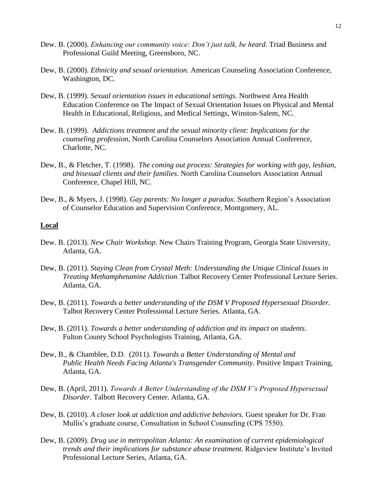- Dew. B. (2000). *Enhancing our community voice: Don't just talk, be heard*. Triad Business and Professional Guild Meeting, Greensboro, NC.
- Dew, B. (2000). *Ethnicity and sexual orientation*. American Counseling Association Conference, Washington, DC.
- Dew, B. (1999). *Sexual orientation issues in educational settings*. Northwest Area Health Education Conference on The Impact of Sexual Orientation Issues on Physical and Mental Health in Educational, Religious, and Medical Settings, Winston-Salem, NC.
- Dew. B. (1999). *Addictions treatment and the sexual minority client: Implications for the counseling profession*, North Carolina Counselors Association Annual Conference, Charlotte, NC.
- Dew, B., & Fletcher, T. (1998). *The coming out process: Strategies for working with gay, lesbian, and bisexual clients and their families*. North Carolina Counselors Association Annual Conference, Chapel Hill, NC.
- Dew, B., & Myers, J. (1998). *Gay parents: No longer a paradox*. Southern Region's Association of Counselor Education and Supervision Conference, Montgomery, AL.

#### **Local**

- Dew. B. (2013). *New Chair Workshop*. New Chairs Training Program, Georgia State University, Atlanta, GA.
- Dew, B. (2011). *Staying Clean from Crystal Meth: Understanding the Unique Clinical Issues in Treating Methamphetamine Addiction.* Talbot Recovery Center Professional Lecture Series. Atlanta, GA.
- Dew, B. (2011). *Towards a better understanding of the DSM V Proposed Hypersexual Disorder.* Talbot Recovery Center Professional Lecture Series. Atlanta, GA.
- Dew, B. (2011). *Towards a better understanding of addiction and its impact on students*. Fulton County School Psychologists Training, Atlanta, GA.
- Dew, B., & Chamblee, D.D. (2011). *Towards a Better Understanding of Mental and Public Health Needs Facing Atlanta's Transgender Community*. Positive Impact Training, Atlanta, GA.
- Dew, B. (April, 2011). *Towards A Better Understanding of the DSM V's Proposed Hypersexual Disorder*. Talbott Recovery Center. Atlanta, GA.
- Dew, B. (2010). *A closer look at addiction and addictive behaviors.* Guest speaker for Dr. Fran Mullis's graduate course, Consultation in School Counseling (CPS 7550).
- Dew, B. (2009). *Drug use in metropolitan Atlanta: An examination of current epidemiological trends and their implications for substance abuse treatment*. Ridgeview Institute's Invited Professional Lecture Series, Atlanta, GA.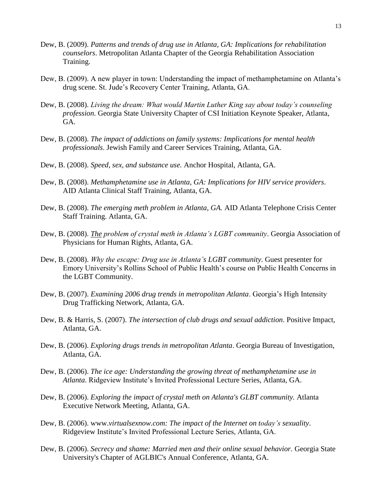- Dew, B. (2009). *Patterns and trends of drug use in Atlanta, GA: Implications for rehabilitation counselors*. Metropolitan Atlanta Chapter of the Georgia Rehabilitation Association Training.
- Dew, B. (2009). A new player in town: Understanding the impact of methamphetamine on Atlanta's drug scene. St. Jude's Recovery Center Training, Atlanta, GA.
- Dew, B. (2008). *Living the dream: What would Martin Luther King say about today's counseling profession*. Georgia State University Chapter of CSI Initiation Keynote Speaker, Atlanta, GA.
- Dew, B. (2008). *The impact of addictions on family systems: Implications for mental health professionals*. Jewish Family and Career Services Training, Atlanta, GA.
- Dew, B. (2008). *Speed, sex, and substance use.* Anchor Hospital, Atlanta, GA.
- Dew, B. (2008). *Methamphetamine use in Atlanta, GA: Implications for HIV service providers*. AID Atlanta Clinical Staff Training, Atlanta, GA.
- Dew, B. (2008). *The emerging meth problem in Atlanta, GA.* AID Atlanta Telephone Crisis Center Staff Training. Atlanta, GA.
- Dew, B. (2008). *The problem of crystal meth in Atlanta's LGBT community*. Georgia Association of Physicians for Human Rights, Atlanta, GA.
- Dew, B. (2008). *Why the escape: Drug use in Atlanta's LGBT community*. Guest presenter for Emory University's Rollins School of Public Health's course on Public Health Concerns in the LGBT Community.
- Dew, B. (2007). *Examining 2006 drug trends in metropolitan Atlanta*. Georgia's High Intensity Drug Trafficking Network, Atlanta, GA.
- Dew, B. & Harris, S. (2007). *The intersection of club drugs and sexual addiction*. Positive Impact, Atlanta, GA.
- Dew, B. (2006). *Exploring drugs trends in metropolitan Atlanta*. Georgia Bureau of Investigation, Atlanta, GA.
- Dew, B. (2006). *The ice age: Understanding the growing threat of methamphetamine use in Atlanta*. Ridgeview Institute's Invited Professional Lecture Series, Atlanta, GA.
- Dew, B. (2006). *Exploring the impact of crystal meth on Atlanta's GLBT community*. Atlanta Executive Network Meeting, Atlanta, GA.
- Dew, B. (2006). www.*[virtualsexnow.com:](www.virtualsexnow.com) The impact of the Internet on today's sexuality*. Ridgeview Institute's Invited Professional Lecture Series, Atlanta, GA.
- Dew, B. (2006). *Secrecy and shame: Married men and their online sexual behavior*. Georgia State University's Chapter of AGLBIC's Annual Conference, Atlanta, GA.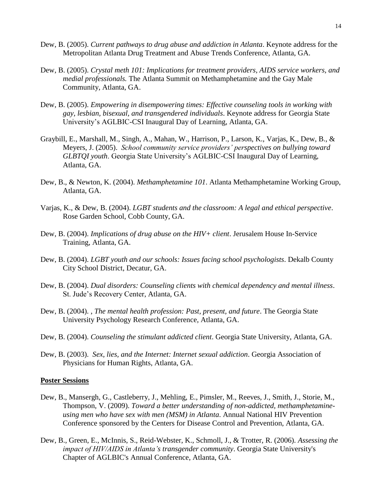- Dew, B. (2005). *Current pathways to drug abuse and addiction in Atlanta*. Keynote address for the Metropolitan Atlanta Drug Treatment and Abuse Trends Conference, Atlanta, GA.
- Dew, B. (2005). *Crystal meth 101: Implications for treatment providers, AIDS service workers, and medial professionals.* The Atlanta Summit on Methamphetamine and the Gay Male Community, Atlanta, GA.
- Dew, B. (2005). *Empowering in disempowering times: Effective counseling tools in working with gay, lesbian, bisexual, and transgendered individuals*. Keynote address for Georgia State University's AGLBIC-CSI Inaugural Day of Learning, Atlanta, GA.
- Meyers, J. (2005). *School community service providers' perspectives on bullying toward*  Graybill, E., Marshall, M., Singh, A., Mahan, W., Harrison, P., Larson, K., Varjas, K., Dew, B., & *GLBTQI youth*. Georgia State University's AGLBIC-CSI Inaugural Day of Learning, Atlanta, GA.
- Dew, B., & Newton, K. (2004). *Methamphetamine 101*. Atlanta Methamphetamine Working Group, Atlanta, GA.
- Varjas, K., & Dew, B. (2004). *LGBT students and the classroom: A legal and ethical perspective*. Rose Garden School, Cobb County, GA.
- Dew, B. (2004). *Implications of drug abuse on the HIV+ client*. Jerusalem House In-Service Training, Atlanta, GA.
- Dew, B. (2004). *LGBT youth and our schools: Issues facing school psychologists*. Dekalb County City School District, Decatur, GA.
- St. Jude's Recovery Center, Atlanta, GA. Dew, B. (2004). *Dual disorders: Counseling clients with chemical dependency and mental illness*.
- Dew, B. (2004). , *The mental health profession: Past, present, and future*. The Georgia State University Psychology Research Conference, Atlanta, GA.
- Dew, B. (2004). *Counseling the stimulant addicted client*. Georgia State University, Atlanta, GA.
- Dew, B. (2003). *Sex, lies, and the Internet: Internet sexual addiction*. Georgia Association of Physicians for Human Rights, Atlanta, GA.

#### **Poster Sessions**

- Conference sponsored by the Centers for Disease Control and Prevention, Atlanta, GA. Dew, B., Mansergh, G., Castleberry, J., Mehling, E., Pimsler, M., Reeves, J., Smith, J., Storie, M., Thompson, V. (2009). *Toward a better understanding of non-addicted, methamphetamineusing men who have sex with men (MSM) in Atlanta*. Annual National HIV Prevention
- Dew, B., Green, E., McInnis, S., Reid-Webster, K., Schmoll, J., & Trotter, R. (2006). *Assessing the impact of HIV/AIDS in Atlanta's transgender community*. Georgia State University's Chapter of AGLBIC's Annual Conference, Atlanta, GA.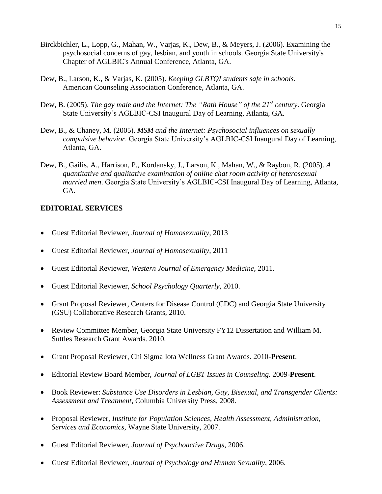- Birckbichler, L., Lopp, G., Mahan, W., Varjas, K., Dew, B., & Meyers, J. (2006). Examining the psychosocial concerns of gay, lesbian, and youth in schools. Georgia State University's Chapter of AGLBIC's Annual Conference, Atlanta, GA.
- Dew, B., Larson, K., & Varjas, K. (2005). *Keeping GLBTQI students safe in schools*. American Counseling Association Conference, Atlanta, GA.
- Dew, B. (2005). *The gay male and the Internet: The "Bath House" of the 21st century*. Georgia State University's AGLBIC-CSI Inaugural Day of Learning, Atlanta, GA.
- Dew, B., & Chaney, M. (2005). *MSM and the Internet: Psychosocial influences on sexually* compulsive behavior. Georgia State University's AGLBIC-CSI Inaugural Day of Learning, Atlanta, GA.
- Dew, B., Gailis, A., Harrison, P., Kordansky, J., Larson, K., Mahan, W., & Raybon, R. (2005). *A quantitative and qualitative examination of online chat room activity of heterosexual married men*. Georgia State University's AGLBIC-CSI Inaugural Day of Learning, Atlanta, GA.

## **EDITORIAL SERVICES SERVICES**

- Guest Editorial Reviewer, *Journal of Homosexuality*, 2013
- Guest Editorial Reviewer, *Journal of Homosexuality*, 2011
- Guest Editorial Reviewer, *Western Journal of Emergency Medicine*, 2011.
- Guest Editorial Reviewer, *School Psychology Quarterly*, 2010.
- Grant Proposal Reviewer, Centers for Disease Control (CDC) and Georgia State University (GSU) Collaborative Research Grants, 2010.
- Review Committee Member, Georgia State University FY12 Dissertation and William M. Suttles Research Grant Awards. 2010.
- Grant Proposal Reviewer, Chi Sigma Iota Wellness Grant Awards. 2010-**Present**.
- Editorial Review Board Member, *Journal of LGBT Issues in Counseling.* 2009-**Present**.
- *Assessment and Treatment,* Columbia University Press, 2008. Book Reviewer: *Substance Use Disorders in Lesbian, Gay, Bisexual, and Transgender Clients:*
- Proposal Reviewer, *Institute for Population Sciences, Health Assessment, Administration, Services and Economics*, Wayne State University, 2007.
- Guest Editorial Reviewer, *Journal of Psychoactive Drugs*, 2006.
- Guest Editorial Reviewer, *Journal of Psychology and Human Sexuality*, 2006.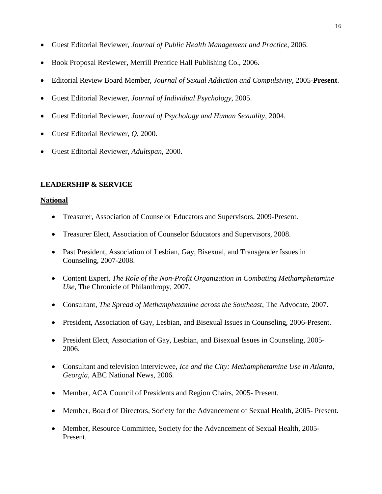- Guest Editorial Reviewer, *Journal of Public Health Management and Practice*, 2006.
- Book Proposal Reviewer, Merrill Prentice Hall Publishing Co., 2006.
- Editorial Review Board Member, *Journal of Sexual Addiction and Compulsivity*, 2005-**Present**.
- Guest Editorial Reviewer, *Journal of Individual Psychology*, 2005.
- Guest Editorial Reviewer, *Journal of Psychology and Human Sexuality*, 2004.
- Guest Editorial Reviewer, *Q*, 2000.
- Guest Editorial Reviewer, *Adultspan*, 2000.

## **LEADERSHIP & SERVICE LEADERSHIP & SERVICE**

#### **National**

- Treasurer, Association of Counselor Educators and Supervisors, 2009-Present.
- Treasurer Elect, Association of Counselor Educators and Supervisors, 2008.
- Past President, Association of Lesbian, Gay, Bisexual, and Transgender Issues in Counseling, 2007-2008.
- Content Expert, *The Role of the Non-Profit Organization in Combating Methamphetamine Use*, The Chronicle of Philanthropy, 2007.
- Consultant, *The Spread of Methamphetamine across the Southeast*, The Advocate, 2007.
- President, Association of Gay, Lesbian, and Bisexual Issues in Counseling, 2006-Present.
- President Elect, Association of Gay, Lesbian, and Bisexual Issues in Counseling, 2005-2006.
- Consultant and television interviewee, *Ice and the City: Methamphetamine Use in Atlanta*, *Georgia*, ABC National News, 2006.
- Member, ACA Council of Presidents and Region Chairs, 2005- Present.
- Member, Board of Directors, Society for the Advancement of Sexual Health, 2005- Present.
- Member, Resource Committee, Society for the Advancement of Sexual Health, 2005- Present.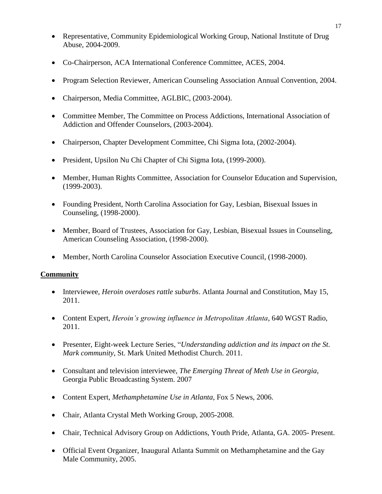- Representative, Community Epidemiological Working Group, National Institute of Drug Abuse, 2004-2009.
- Co-Chairperson, ACA International Conference Committee, ACES, 2004.
- Program Selection Reviewer, American Counseling Association Annual Convention, 2004.
- Chairperson, Media Committee, AGLBIC, (2003-2004).
- Committee Member, The Committee on Process Addictions, International Association of Addiction and Offender Counselors, (2003-2004).
- Chairperson, Chapter Development Committee, Chi Sigma Iota, (2002-2004).
- President, Upsilon Nu Chi Chapter of Chi Sigma Iota, (1999-2000).
- Member, Human Rights Committee, Association for Counselor Education and Supervision, (1999-2003).
- Founding President, North Carolina Association for Gay, Lesbian, Bisexual Issues in Counseling, (1998-2000).
- Member, Board of Trustees, Association for Gay, Lesbian, Bisexual Issues in Counseling, American Counseling Association, (1998-2000).
- Member, North Carolina Counselor Association Executive Council, (1998-2000).

# **Community**

- Interviewee, *Heroin overdoses rattle suburbs*. Atlanta Journal and Constitution, May 15, 2011.
- Content Expert, *Heroin's growing influence in Metropolitan Atlanta*, 640 WGST Radio, 2011.
- Presenter, Eight-week Lecture Series, "*Understanding addiction and its impact on the St. Mark community*, St. Mark United Methodist Church. 2011.
- Georgia Public Broadcasting System. 2007 Consultant and television interviewee, *The Emerging Threat of Meth Use in Georgia*,
- Content Expert, *Methamphetamine Use in Atlanta*, Fox 5 News, 2006.
- Chair, Atlanta Crystal Meth Working Group, 2005-2008.
- Chair, Technical Advisory Group on Addictions, Youth Pride, Atlanta, GA. 2005- Present.
- Official Event Organizer, Inaugural Atlanta Summit on Methamphetamine and the Gay Male Community, 2005.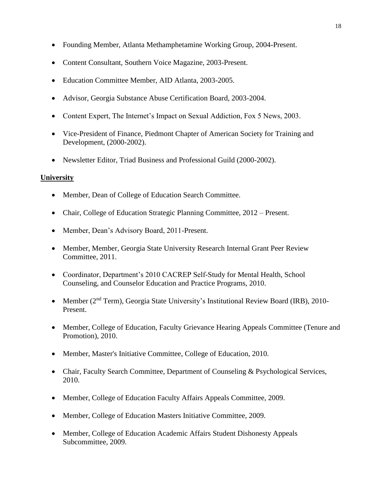- Founding Member, Atlanta Methamphetamine Working Group, 2004-Present.
- Content Consultant, Southern Voice Magazine, 2003-Present.
- Education Committee Member, AID Atlanta, 2003-2005.
- Advisor, Georgia Substance Abuse Certification Board, 2003-2004.
- Content Expert, The Internet's Impact on Sexual Addiction, Fox 5 News, 2003.
- Vice-President of Finance, Piedmont Chapter of American Society for Training and Development, (2000-2002).
- Newsletter Editor, Triad Business and Professional Guild (2000-2002).

# **University**

- Member, Dean of College of Education Search Committee.
- Chair, College of Education Strategic Planning Committee, 2012 Present.
- Member, Dean's Advisory Board, 2011-Present.
- Member, Member, Georgia State University Research Internal Grant Peer Review Committee, 2011.
- Coordinator, Department's 2010 CACREP Self-Study for Mental Health, School Counseling, and Counselor Education and Practice Programs, 2010.
- Member (2<sup>nd</sup> Term), Georgia State University's Institutional Review Board (IRB), 2010-Present.
- Member, College of Education, Faculty Grievance Hearing Appeals Committee (Tenure and Promotion), 2010.
- Member, Master's Initiative Committee, College of Education, 2010.
- Chair, Faculty Search Committee, Department of Counseling & Psychological Services, 2010.
- Member, College of Education Faculty Affairs Appeals Committee, 2009.
- Member, College of Education Masters Initiative Committee, 2009.
- Subcommittee, 2009. Member, College of Education Academic Affairs Student Dishonesty Appeals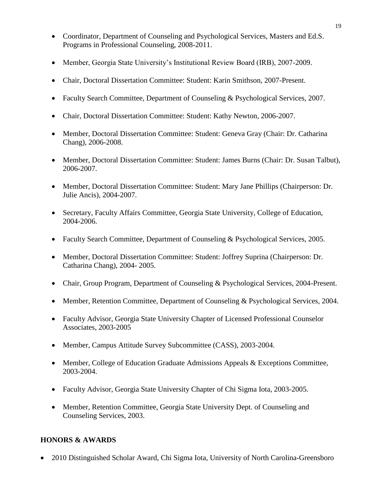- Coordinator, Department of Counseling and Psychological Services, Masters and Ed.S. Programs in Professional Counseling, 2008-2011.
- Member, Georgia State University's Institutional Review Board (IRB), 2007-2009.
- Chair, Doctoral Dissertation Committee: Student: Karin Smithson, 2007-Present.
- Faculty Search Committee, Department of Counseling & Psychological Services, 2007.
- Chair, Doctoral Dissertation Committee: Student: Kathy Newton, 2006-2007.
- Member, Doctoral Dissertation Committee: Student: Geneva Gray (Chair: Dr. Catharina Chang), 2006-2008.
- Member, Doctoral Dissertation Committee: Student: James Burns (Chair: Dr. Susan Talbut), 2006-2007.
- Member, Doctoral Dissertation Committee: Student: Mary Jane Phillips (Chairperson: Dr. Julie Ancis), 2004-2007.
- Secretary, Faculty Affairs Committee, Georgia State University, College of Education, 2004-2006.
- Faculty Search Committee, Department of Counseling & Psychological Services, 2005.
- Catharina Chang), 2004- 2005. Member, Doctoral Dissertation Committee: Student: Joffrey Suprina (Chairperson: Dr.
- Chair, Group Program, Department of Counseling & Psychological Services, 2004-Present.
- Member, Retention Committee, Department of Counseling & Psychological Services, 2004.
- Faculty Advisor, Georgia State University Chapter of Licensed Professional Counselor Associates, 2003-2005
- Member, Campus Attitude Survey Subcommittee (CASS), 2003-2004.
- Member, College of Education Graduate Admissions Appeals & Exceptions Committee, 2003-2004.
- Faculty Advisor, Georgia State University Chapter of Chi Sigma Iota, 2003-2005.
- Member, Retention Committee, Georgia State University Dept. of Counseling and Counseling Services, 2003.

# **HONORS & AWARDS**

2010 Distinguished Scholar Award, Chi Sigma Iota, University of North Carolina-Greensboro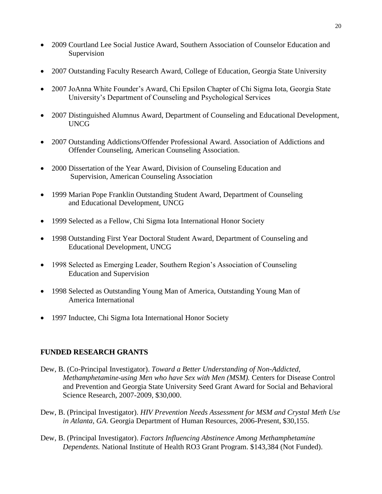- 2009 Courtland Lee Social Justice Award, Southern Association of Counselor Education and Supervision
- 2007 Outstanding Faculty Research Award, College of Education, Georgia State University
- 2007 JoAnna White Founder's Award, Chi Epsilon Chapter of Chi Sigma Iota, Georgia State University's Department of Counseling and Psychological Services
- 2007 Distinguished Alumnus Award, Department of Counseling and Educational Development, **UNCG**
- 2007 Outstanding Addictions/Offender Professional Award. Association of Addictions and Offender Counseling, American Counseling Association.
- 2000 Dissertation of the Year Award, Division of Counseling Education and Supervision, American Counseling Association
- 1999 Marian Pope Franklin Outstanding Student Award, Department of Counseling and Educational Development, UNCG
- 1999 Selected as a Fellow, Chi Sigma Iota International Honor Society
- 1998 Outstanding First Year Doctoral Student Award, Department of Counseling and Educational Development, UNCG
- 1998 Selected as Emerging Leader, Southern Region's Association of Counseling Education and Supervision
- 1998 Selected as Outstanding Young Man of America, Outstanding Young Man of America International
- 1997 Inductee, Chi Sigma Iota International Honor Society

# **FUNDED RESEARCH GRANTS RESEARCH GRANTS**

- Dew, B. (Co-Principal Investigator). *Toward a Better Understanding of Non-Addicted, Methamphetamine-using Men who have Sex with Men (MSM).* Centers for Disease Control and Prevention and Georgia State University Seed Grant Award for Social and Behavioral Science Research, 2007-2009, \$30,000.
- Dew, B. (Principal Investigator). *HIV Prevention Needs Assessment for MSM and Crystal Meth Use in Atlanta, GA*. Georgia Department of Human Resources, 2006-Present, \$30,155.
- Dew, B. (Principal Investigator). *Factors Influencing Abstinence Among Methamphetamine Dependents.* National Institute of Health RO3 Grant Program. \$143,384 (Not Funded).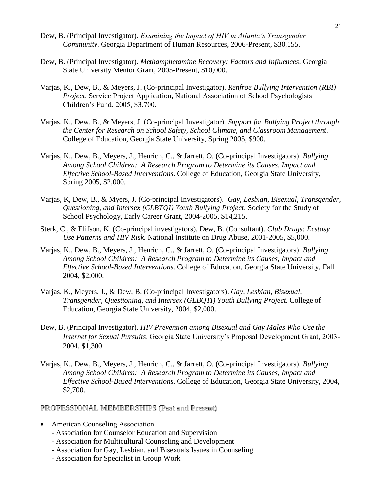- Dew, B. (Principal Investigator). *Examining the Impact of HIV in Atlanta's Transgender Community*. Georgia Department of Human Resources, 2006-Present, \$30,155.
- Dew, B. (Principal Investigator). *Methamphetamine Recovery: Factors and Influences*. Georgia State University Mentor Grant, 2005-Present, \$10,000.
- Varjas, K., Dew, B., & Meyers, J. (Co-principal Investigator). *Renfroe Bullying Intervention (RBI) Project*. Service Project Application, National Association of School Psychologists Children's Fund, 2005, \$3,700.
- Varjas, K., Dew, B., & Meyers, J. (Co-principal Investigator). *Support for Bullying Project through the Center for Research on School Safety, School Climate, and Classroom Management*. College of Education, Georgia State University, Spring 2005, \$900.
- Spring 2005, \$2,000. Varjas, K., Dew, B., Meyers, J., Henrich, C., & Jarrett, O. (Co-principal Investigators). *Bullying Among School Children: A Research Program to Determine its Causes, Impact and Effective School-Based Interventions.* College of Education, Georgia State University,
- Varjas, K, Dew, B., & Myers, J. (Co-principal Investigators). *Gay, Lesbian, Bisexual, Transgender, Questioning, and Intersex (GLBTQI) Youth Bullying Project*. Society for the Study of School Psychology, Early Career Grant, 2004-2005, \$14,215.
- Sterk, C., & Elifson, K. (Co-principal investigators), Dew, B. (Consultant). *Club Drugs: Ecstasy Use Patterns and HIV Risk.* National Institute on Drug Abuse, 2001-2005, \$5,000.
- 2004, \$2,000. Varjas, K., Dew, B., Meyers, J., Henrich, C., & Jarrett, O. (Co-principal Investigators). *Bullying Among School Children: A Research Program to Determine its Causes, Impact and Effective School-Based Interventions.* College of Education, Georgia State University, Fall
- 2004, \$2,000. Varjas, K., Meyers, J., & Dew, B. (Co-principal Investigators). *Gay, Lesbian, Bisexual, Transgender, Questioning, and Intersex (GLBQTI) Youth Bullying Project*. College of Education, Georgia State University, 2004, \$2,000.
- Dew, B. (Principal Investigator). *HIV Prevention among Bisexual and Gay Males Who Use the Internet for Sexual Pursuits*. Georgia State University's Proposal Development Grant, 2003- 2004, \$1,300.
- \$2,700. Varjas, K., Dew, B., Meyers, J., Henrich, C., & Jarrett, O. (Co-principal Investigators). *Bullying Among School Children: A Research Program to Determine its Causes, Impact and Effective School-Based Interventions.* College of Education, Georgia State University, 2004,

**PROFESSIONAL MEMBERSHIPS (Past and Present) PROFESSIONAL MEMBERSHIPS (Past and Present)** 

- American Counseling Association
	- Association for Counselor Education and Supervision
	- Association for Multicultural Counseling and Development
	- **-** Association for Gay, Lesbian, and Bisexuals Issues in Counseling
	- Association for Specialist in Group Work